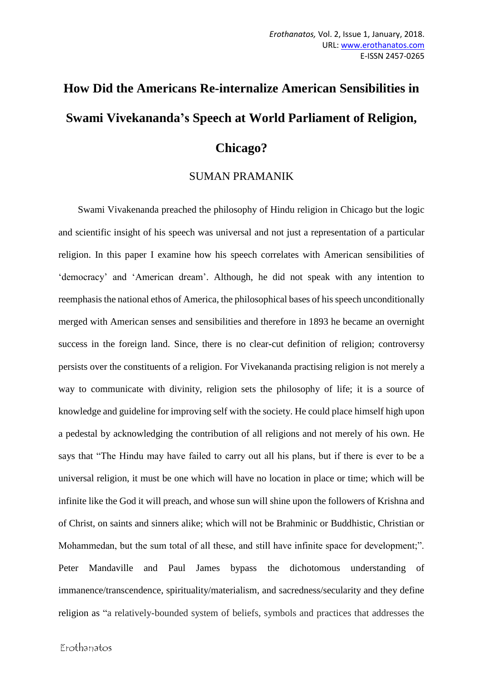# **How Did the Americans Re-internalize American Sensibilities in Swami Vivekananda's Speech at World Parliament of Religion, Chicago?**

## SUMAN PRAMANIK

 Swami Vivakenanda preached the philosophy of Hindu religion in Chicago but the logic and scientific insight of his speech was universal and not just a representation of a particular religion. In this paper I examine how his speech correlates with American sensibilities of 'democracy' and 'American dream'. Although, he did not speak with any intention to reemphasis the national ethos of America, the philosophical bases of his speech unconditionally merged with American senses and sensibilities and therefore in 1893 he became an overnight success in the foreign land. Since, there is no clear-cut definition of religion; controversy persists over the constituents of a religion. For Vivekananda practising religion is not merely a way to communicate with divinity, religion sets the philosophy of life; it is a source of knowledge and guideline for improving self with the society. He could place himself high upon a pedestal by acknowledging the contribution of all religions and not merely of his own. He says that "The Hindu may have failed to carry out all his plans, but if there is ever to be a universal religion, it must be one which will have no location in place or time; which will be infinite like the God it will preach, and whose sun will shine upon the followers of Krishna and of Christ, on saints and sinners alike; which will not be Brahminic or Buddhistic, Christian or Mohammedan, but the sum total of all these, and still have infinite space for development;". Peter Mandaville and Paul James bypass the dichotomous understanding of immanence/transcendence, spirituality/materialism, and sacredness/secularity and they define religion as "a relatively-bounded system of beliefs, symbols and practices that addresses the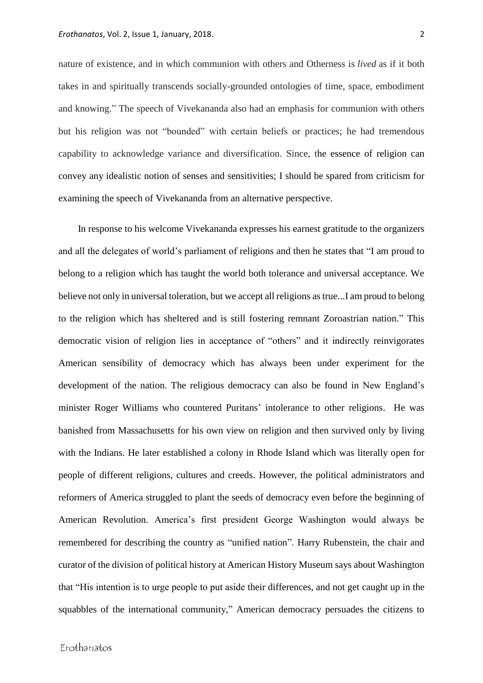nature of existence, and in which communion with others and Otherness is *lived* as if it both takes in and spiritually transcends socially-grounded ontologies of time, space, embodiment and knowing." The speech of Vivekananda also had an emphasis for communion with others but his religion was not "bounded" with certain beliefs or practices; he had tremendous capability to acknowledge variance and diversification. Since, the essence of religion can convey any idealistic notion of senses and sensitivities; I should be spared from criticism for examining the speech of Vivekananda from an alternative perspective.

 In response to his welcome Vivekananda expresses his earnest gratitude to the organizers and all the delegates of world's parliament of religions and then he states that "I am proud to belong to a religion which has taught the world both tolerance and universal acceptance. We believe not only in universal toleration, but we accept all religions as true...I am proud to belong to the religion which has sheltered and is still fostering remnant Zoroastrian nation." This democratic vision of religion lies in acceptance of "others" and it indirectly reinvigorates American sensibility of democracy which has always been under experiment for the development of the nation. The religious democracy can also be found in New England's minister Roger Williams who countered Puritans' intolerance to other religions. He was banished from Massachusetts for his own view on religion and then survived only by living with the Indians. He later established a colony in Rhode Island which was literally open for people of different religions, cultures and creeds. However, the political administrators and reformers of America struggled to plant the seeds of democracy even before the beginning of American Revolution. America's first president George Washington would always be remembered for describing the country as "unified nation". Harry Rubenstein, the chair and curator of the division of political history at American History Museum says about Washington that "His intention is to urge people to put aside their differences, and not get caught up in the squabbles of the international community," American democracy persuades the citizens to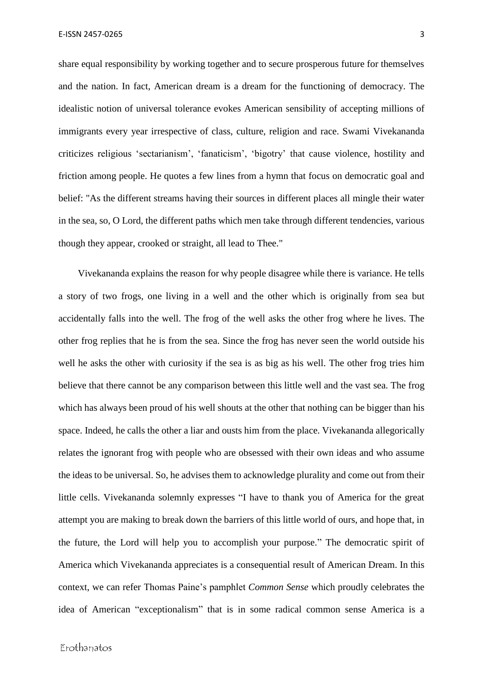share equal responsibility by working together and to secure prosperous future for themselves and the nation. In fact, American dream is a dream for the functioning of democracy. The idealistic notion of universal tolerance evokes American sensibility of accepting millions of immigrants every year irrespective of class, culture, religion and race. Swami Vivekananda criticizes religious 'sectarianism', 'fanaticism', 'bigotry' that cause violence, hostility and friction among people. He quotes a few lines from a hymn that focus on democratic goal and belief: "As the different streams having their sources in different places all mingle their water in the sea, so, O Lord, the different paths which men take through different tendencies, various though they appear, crooked or straight, all lead to Thee."

 Vivekananda explains the reason for why people disagree while there is variance. He tells a story of two frogs, one living in a well and the other which is originally from sea but accidentally falls into the well. The frog of the well asks the other frog where he lives. The other frog replies that he is from the sea. Since the frog has never seen the world outside his well he asks the other with curiosity if the sea is as big as his well. The other frog tries him believe that there cannot be any comparison between this little well and the vast sea. The frog which has always been proud of his well shouts at the other that nothing can be bigger than his space. Indeed, he calls the other a liar and ousts him from the place. Vivekananda allegorically relates the ignorant frog with people who are obsessed with their own ideas and who assume the ideas to be universal. So, he advises them to acknowledge plurality and come out from their little cells. Vivekananda solemnly expresses "I have to thank you of America for the great attempt you are making to break down the barriers of this little world of ours, and hope that, in the future, the Lord will help you to accomplish your purpose." The democratic spirit of America which Vivekananda appreciates is a consequential result of American Dream. In this context, we can refer Thomas Paine's pamphlet *Common Sense* which proudly celebrates the idea of American "exceptionalism" that is in some radical common sense America is a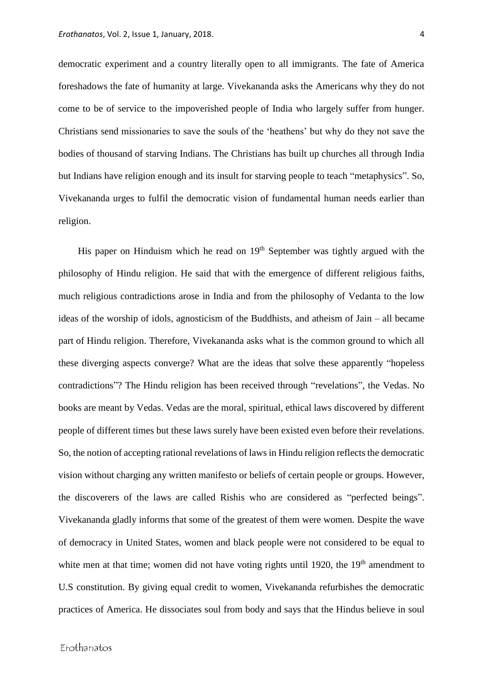democratic experiment and a country literally open to all immigrants. The fate of America foreshadows the fate of humanity at large. Vivekananda asks the Americans why they do not come to be of service to the impoverished people of India who largely suffer from hunger. Christians send missionaries to save the souls of the 'heathens' but why do they not save the bodies of thousand of starving Indians. The Christians has built up churches all through India but Indians have religion enough and its insult for starving people to teach "metaphysics". So, Vivekananda urges to fulfil the democratic vision of fundamental human needs earlier than religion.

His paper on Hinduism which he read on  $19<sup>th</sup>$  September was tightly argued with the philosophy of Hindu religion. He said that with the emergence of different religious faiths, much religious contradictions arose in India and from the philosophy of Vedanta to the low ideas of the worship of idols, agnosticism of the Buddhists, and atheism of Jain – all became part of Hindu religion. Therefore, Vivekananda asks what is the common ground to which all these diverging aspects converge? What are the ideas that solve these apparently "hopeless contradictions"? The Hindu religion has been received through "revelations", the Vedas. No books are meant by Vedas. Vedas are the moral, spiritual, ethical laws discovered by different people of different times but these laws surely have been existed even before their revelations. So, the notion of accepting rational revelations of laws in Hindu religion reflects the democratic vision without charging any written manifesto or beliefs of certain people or groups. However, the discoverers of the laws are called Rishis who are considered as "perfected beings". Vivekananda gladly informs that some of the greatest of them were women. Despite the wave of democracy in United States, women and black people were not considered to be equal to white men at that time; women did not have voting rights until 1920, the  $19<sup>th</sup>$  amendment to U.S constitution. By giving equal credit to women, Vivekananda refurbishes the democratic practices of America. He dissociates soul from body and says that the Hindus believe in soul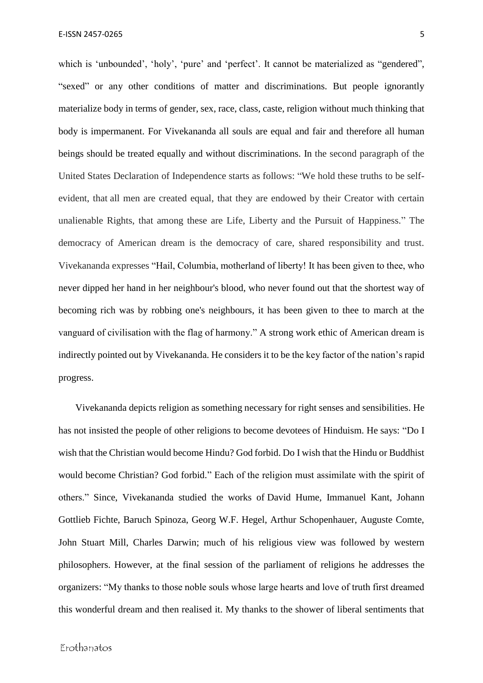which is 'unbounded', 'holy', 'pure' and 'perfect'. It cannot be materialized as "gendered", "sexed" or any other conditions of matter and discriminations. But people ignorantly materialize body in terms of gender, sex, race, class, caste, religion without much thinking that body is impermanent. For Vivekananda all souls are equal and fair and therefore all human beings should be treated equally and without discriminations. In the second paragraph of the United States Declaration of Independence starts as follows: "We hold these truths to be selfevident, that all men are created equal, that they are endowed by their Creator with certain unalienable Rights, that among these are Life, Liberty and the Pursuit of Happiness." The democracy of American dream is the democracy of care, shared responsibility and trust. Vivekananda expresses "Hail, Columbia, motherland of liberty! It has been given to thee, who never dipped her hand in her neighbour's blood, who never found out that the shortest way of becoming rich was by robbing one's neighbours, it has been given to thee to march at the vanguard of civilisation with the flag of harmony." A strong work ethic of American dream is indirectly pointed out by Vivekananda. He considers it to be the key factor of the nation's rapid progress.

 Vivekananda depicts religion as something necessary for right senses and sensibilities. He has not insisted the people of other religions to become devotees of Hinduism. He says: "Do I wish that the Christian would become Hindu? God forbid. Do I wish that the Hindu or Buddhist would become Christian? God forbid." Each of the religion must assimilate with the spirit of others." Since, Vivekananda studied the works of David Hume, Immanuel Kant, Johann Gottlieb Fichte, Baruch Spinoza, Georg W.F. Hegel, Arthur Schopenhauer, Auguste Comte, John Stuart Mill, Charles Darwin; much of his religious view was followed by western philosophers. However, at the final session of the parliament of religions he addresses the organizers: "My thanks to those noble souls whose large hearts and love of truth first dreamed this wonderful dream and then realised it. My thanks to the shower of liberal sentiments that